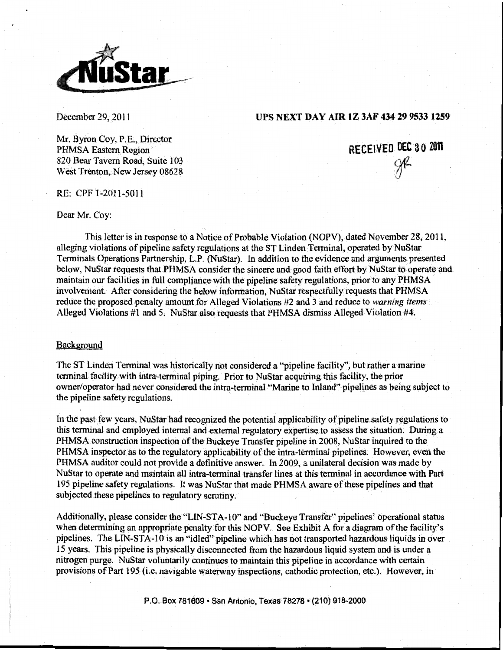

December 29, 2011

# **UPS NEXT DAY AIR IZ 3AF 434 29 9533 1259**

Mr. Byron Coy, P.E., Director PHMSA Eastern Region 820 Bear Tavern Road, Suite 103 West Trenton, New Jersey 08628

**RECEIVED DEC 30 2011**  gr<br><sup>1</sup>

RE: CPF 1-2011-5011

# Dear Mr. Coy:

This letter is in response to a Notice of Probable Violation (NOPV), dated November 28, 2011, alleging violations of pipeline safety regulations at the ST Linden Terminal, operated by NuStar Terminals Operations Partnership, L.P. (NuStar). In addition to the evidence and arguments presented below, NuS tar requests that PHMSA consider the sincere and good faith effort by NuStar to operate and maintain our facilities in full compliance with the pipeline safety regulations, prior to any PHMSA involvement. After considering the below information, NuStar respectfully requests that PHMSA reduce the proposed penalty amount for Alleged Violations #2 and 3 and reduce to *warning items*  Alleged Violations #1 and 5. NuStar also requests that PHMSA dismiss Alleged Violation #4.

### Background

The ST Linden Terminal was historically not considered a "pipeline facility", but rather a marine terminal facility with intra-terminal piping. Prior to NuStar acquiring this facility, the prior owner/operator had never considered the intra-terminal "Marine to Inland'' pipelines as being subject to the pipeline safety regulations.

In the past few years, NuStar had recognized the potential applicability of pipeline safety regulations to this terminal and employed internal and external regulatory expertise to assess the situation. During a PHMSA construction inspection of the Buckeye Transfer pipeline in 2008, NuStar inquired to the PHMSA inspector as to the regulatory applicability of the intra·terminal pipelines. However, even the PHMSA auditor could not provide a definitive answer. In 2009, a unilateral decision was made by NuStar to operate and maintain all intra·terminal transfer lines at this terminal in accordance with Part 195 pipeline safety regulations. It was NuStar that made PHMSA aware of these pipelines and that subjected these pipelines to regulatory scrutiny.

Additionally, please consider the "LIN-STA-10" and "Buckeye Transfer" pipelines' operational status when determining an appropriate penalty for this NOPV. See Exhibit A for a diagram of the facility's pipelines. The LIN-STA-10 is an "idled" pipeline which has not transported hazardous liquids in over 15 years. This pipeline is physically disconnected from the hazardous liquid system and is under a nitrogen purge. NuStar voluntarily continues to maintain this pipeline in accordance with certain provisions of Part 195 (i.e. navigable waterway inspections. cathodic protection, etc.). However, in

P.O. Box 781609 • San Antonio, Texas 78278 • (210) 918-2000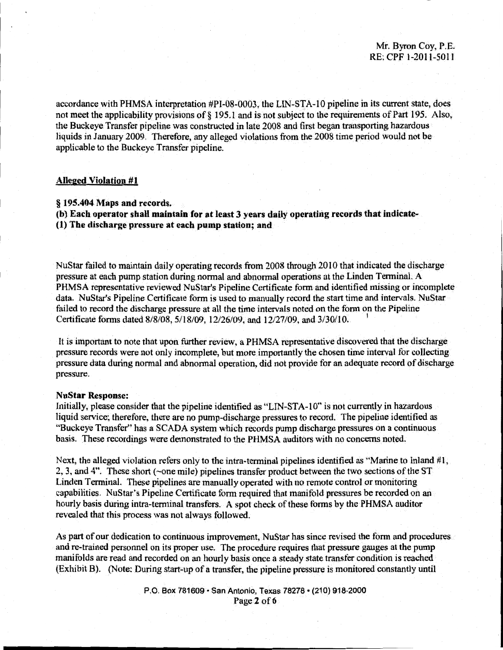# Mr. Byron Coy, P.E. RE: CPF 1-2011-5011

accordance with PHMSA interpretation #PI-08-0003, the LIN-STA-10 pipeline in its current state, does not meet the applicability provisions of § 195.1 and is not subject to the requirements of Part 195. Also, the Buckeye Transfer pipeline was constructed in late 2008 and first began transporting hazardous liquids in January 2009. Therefore, any alleged violations from the 2008 time period would not be applicable to the Buckeye Transfer pipeline.

### **Alleged Violation #1**

§ 195.404 Maps and records.

(b) Each operator shaU maintain for at least 3 years daily operating records that indicate- (I) The discharge pressure at each **pump** station; and

NuS tar failed to maintain daily operating records from 2008 through 2010 that indicated the discharge pressure at each pump station during normal and abnormal operations at the Linden Tenninal. A PHMSA representative reviewed NuStar's Pipeline Certificate form and identified missing or incomplete data. NuStar's Pipeline Certificate form is used to manually record the start time and intervals. NuStar failed to record the discharge pressure at all the time intervals noted on the form on the Pipeline Certificate forms dated 8/8/08, 5/18/09, 12/26/09, and 12/27/09, and 3/30/10.

It is important to note that upon further review, a PHMSA representative discovered that the discharge pressure records were not only incomplete, but more importantly the chosen time interval for collecting pressure data during normal and abnonnal operation, did not provide for an adequate record of discharge pressure.

### NuStar Response:

Initially, please consider that the pipeline identified as "LIN-STA-1 0" is not currently in hazardous liquid service; therefore, there are no pump-discharge pressures to record. The pipeline identified as "Buckeye Transfer" has a SCADA system which records pump discharge pressures on a continuous basis. These recordings were demonstrated to the PHMSA auditors with no concerns noted.

Next, the alleged violation refers only to the intra-terminal pipelines identified as "Marine to Inland #1, 2, 3, and 4". These short (-one mile) pipelines transfer product between the two sections of the ST Linden Terminal. These pipelines are manually operated with no remote control or monitoring capabilities. NuStar's Pipeline Certificate form required that manifold pressures be recorded on an hourly basis during intra-terminal transfers. A spot check of these forms by the PHMSA auditor revealed that this process was not always followed.

As part of our dedication to continuous improvement, NuStar has since revised the form and procedures and re-trained personnel on its proper use. The procedure requires that pressure gauges at the pump manifolds are read and recorded on an hourly basis once a steady state transfer condition is reached (Exhibit B). (Note: During start-up of a transfer, the pipeline pressure is monitored constantly until

> P.O. Box 781609 • San Antonio, Texas 78278 • (210) 918-2000 Page 2 of 6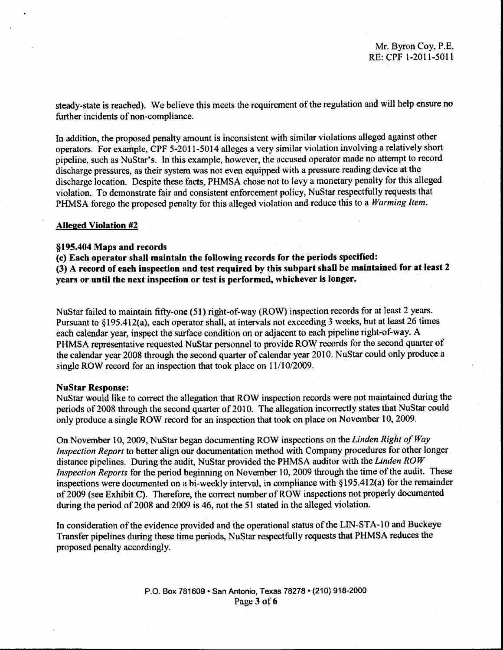steady-state is reached). We believe this meets the requirement of the regulation and will help ensure no further incidents of non-compliance.

In addition, the proposed penalty amount is inconsistent with similar violations alleged against other operators. For example, CPF 5-2011-5014 alleges a very similar violation involving a relatively short pipeline, such as NuStar's. In this example, however, the accused operator made no attempt to record discharge pressures, as their system was not even equipped with a pressure reading device at the discharge location. Despite these facts, PHMSA chose not to levy a monetary penalty for this al1eged violation. To demonstrate fair and consistent enforcement policy, NuS tar respectfully requests that PHMSA forego the proposed penalty for this alleged violation and reduce this to a *Warming Item.* 

### Alleged Violation #2

#### §195.404 Maps and records

(c) Each operator shall maintain the following records for the periods specified: (3) A record of each inspection and test required by this subpart shall be maintained for at least 2 years or until the next inspection or test is performed, whichever is longer.

NuStar failed to maintain fifty-one (51) right-of-way (ROW) inspection records for at least 2 years. Pursuant to §195.412(a), each operator shall, at intervals not exceeding 3 weeks, but at least 26 times each calendar year, inspect the surface condition on or adjacent to each pipeline right-of-way. A PHMSA representative requested NuStar personnel to provide ROW records for the second quarter of the calendar year 2008 through the second quarter of calendar year 2010. NuStar could only produce a single ROW record for an inspection that took place on 11/10/2009.

#### NuStar Response:

NuStar would like to correct the allegation that ROW inspection records were not maintained during the periods of 2008 through the second quarter of 2010. The allegation incorrectly states that NuStar could only produce a single ROW record for an inspection that took on place on November 10, 2009.

On November 10, 2009, NuStar began documenting ROW inspections on the *Linden Right of Way Inspection Report* to better align our documentation method with Company procedures for other longer distance pipelines. During the audit, NuStar provided the PHMSA auditor with the *Linden ROW Inspection Reports* for the period beginning on November 10, 2009 through the time of the audit. These inspections were documented on a bi-weekly interval, in compliance with §195.412(a) for the remainder of 2009 (see Exhibit C). Therefore, the correct number of ROW inspections not properly documented during the period of 2008 and 2009 is 46, not the 51 stated in the alleged violation.

In consideration of the evidence provided and the operational status of the LIN-STA-10 and Buckeye Transfer pipelines during these time periods, NuStar respectfully requests that PHMSA reduces the proposed penalty accordingly.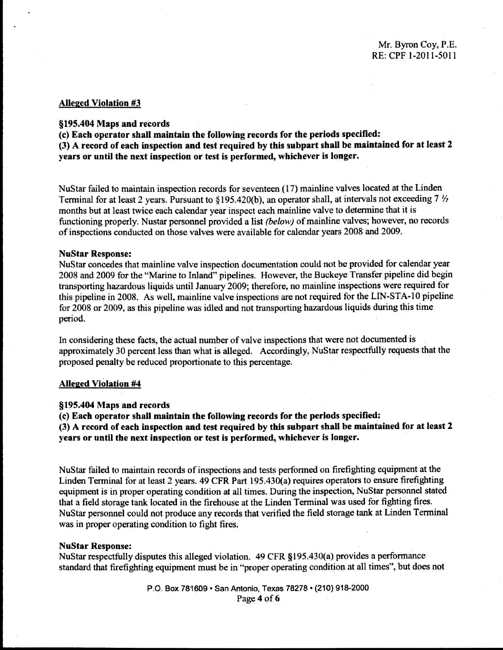### Alleged Violation #3

# §195.404 Maps and records

(c) Each operator shall maintain the following records for the periods specified:

(3) A record of each inspection and test required by this subpart shall be maintained for at least 2 years or until the next inspection or test is performed, whichever is longer.

NuStar failed to maintain inspection records for seventeen (I 7) mainline valves located at the Linden Terminal for at least 2 years. Pursuant to §195.420(b), an operator shall, at intervals not exceeding  $7\frac{1}{2}$ months but at least twice each calendar year inspect each mainline valve to determine that it is functioning properly. Nustar personnel provided a list (below) of mainline valves; however, no records of inspections conducted on those valves were available for calendar years 2008 and 2009.

#### NuStar Response:

NuS tar concedes that mainline valve inspection documentation could not be provided for calendar year 2008 and 2009 for the "Marine to Inland" pipelines. However, the Buckeye Transfer pipeline did begin transporting hazardous liquids until January 2009; therefore, no mainline inspections were required for this pipeline in 2008. As well, mainline valve inspections are not required for the LIN-STA-10 pipeline for 2008 or 2009, as this pipeline was idled and not transporting hazardous liquids during this time period.

In considering these facts, the actual number of valve inspections that were not documented is approximately 30 percent less than what is alleged. Accordingly, NuStar respectfully requests that the proposed penalty be reduced proportionate to this percentage.

### Alleged Violation #4

# §195.404 Maps and records

(c) Each operator shall maintain the following records for the periods specified; (3) A record of each inspection and test required by this subpart shall be maintained for at least 2 years or until the next inspection or test is performed, whichever is longer.

NuS tar failed to maintain records of inspections and tests performed on firefighting equipment at the Linden Terminal for at least 2 years. 49 CFR Part 195.430(a) requires operators to ensure firefighting equipment is in proper operating condition at all times. During the inspection, NuStar personnel stated that a field storage tank located in the firehouse at the Linden Terminal was used for fighting fires. NuStar personnel could not produce any records that verified the field storage tank at Linden Terminal was in proper operating condition to fight fires.

### NuStar Response:

NuStar respectfully disputes this alleged violation. 49 CFR §195.430(a) provides a performance standard that frrefighting equipment must be in "proper operating condition at all times", but does not

> P.O. Box 781609 • San Antonio, Texas 78278 • (210) 918~2000 Page 4 of 6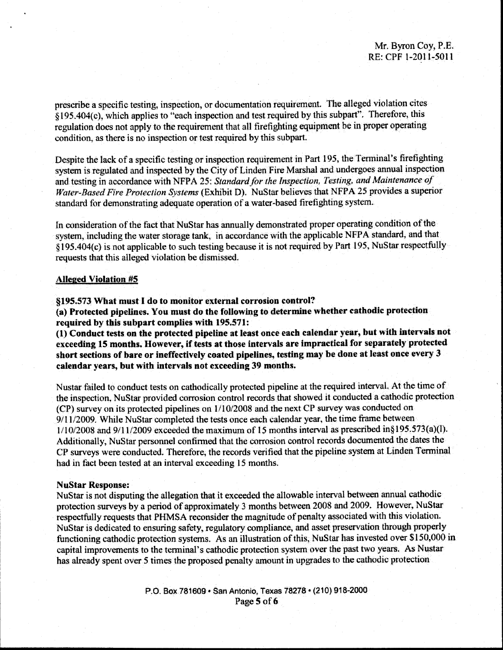prescribe a specific testing, inspection, or documentation requirement. The alleged violation cites § 195.404(c), which applies to "each inspection and test required by this subpart". Therefore, this regulation does not apply to the requirement that all firefighting equipment be in proper operating condition, as there is no inspection or test required by this subpart.

Despite the lack of a specific testing or inspection requirement in Part 195, the Tenninal's firetighting system is regulated and inspected by the City of Linden Fire Marshal and undergoes annual inspection and testing in accordance with NFPA 25: *Standard for the Inspection, Testing, and Maintenance of Water-Based Fire Protection Systems* (Exhibit D). NuStar believes that NFPA 25 provides a superior standard for demonstrating adequate operation of a water~based firefighting system.

In consideration of the tact that NuStar has annually demonstrated proper operating condition of the system, including the water storage tank, in accordance with the applicable NFPA standard, and that § 195.404(c) is not applicable to such testing because it is not required by Part 195, NuStar respectfully requests that this alleged violation be dismissed.

#### Alleged Violation #5

§195.573 What must I do to monitor external corrosion control?

(a) Protected pipelines. You must do the following to determine whether cathodic protection required by this subpart complies with 195.571:

(1) Conduct tests on the protected pipeline at least once each calendar year, but with intervals not exceeding 15 months. However, if tests at those intervals are impractical for separately protected short sections of bare or ineffectively coated pipelines, testing may be done at least once every 3 calendar years, but with intervals not exceeding 39 months.

Nustar failed to conduct tests on cathodically protected pipeline at the required intervaL At the time of the inspection. NuStar provided corrosion control records that showed it conducted a cathodic protection (CP) survey on its protected pipelines on l/1 0/2008 and the next CP survey was conducted on 9/11/2009. While NuStar completed the tests once each calendar year, the time frame between  $1/10/2008$  and  $9/11/2009$  exceeded the maximum of 15 months interval as prescribed in§195.573(a)(l). Additionally, NuStar personnel confinned that the corrosion control records documented the dates the CP surveys were conducted. Therefore, the records verified that the pipeline system at Linden Terminal had in fact been tested at an interval exceeding 15 months.

### NuStar Response:

NuStar is not disputing the allegation that it exceeded the allowable interval between annual cathodic protection surveys by a period of approximately 3 months between 2008 and 2009. However, NuStar respectfully requests that PHMSA reconsider the magnitude of penalty associated with this violation. NuStar is dedicated to ensuring safety, regulatory compliance, and asset preservation through properly functioning cathodic protection systems. As an illustration of this, NuStar has invested over \$150,000 in capital improvements to the tenninal's cathodic protection system over the past two years. As Nustar has already spent over 5 times the proposed penalty amount in upgrades to the cathodic protection

> P.O. Box 781609 • San Antonio, Texas 78278 • (210) 918-2000 Page 5 of 6